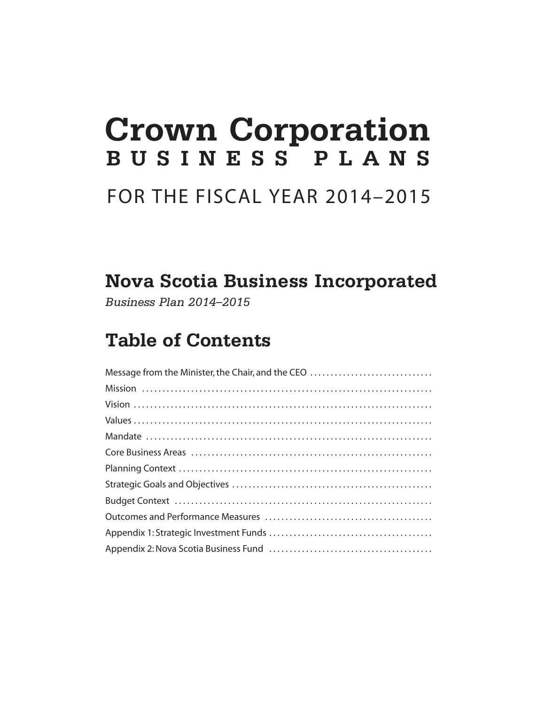# **Crown Corporation BUSINESS PLANS**

### FOR THE FISCAL YEAR 2014–2015

### **Nova Scotia Business Incorporated**

*Business Plan 2014–2015*

### **Table of Contents**

| Message from the Minister, the Chair, and the CEO |
|---------------------------------------------------|
|                                                   |
|                                                   |
|                                                   |
|                                                   |
|                                                   |
|                                                   |
|                                                   |
|                                                   |
|                                                   |
|                                                   |
|                                                   |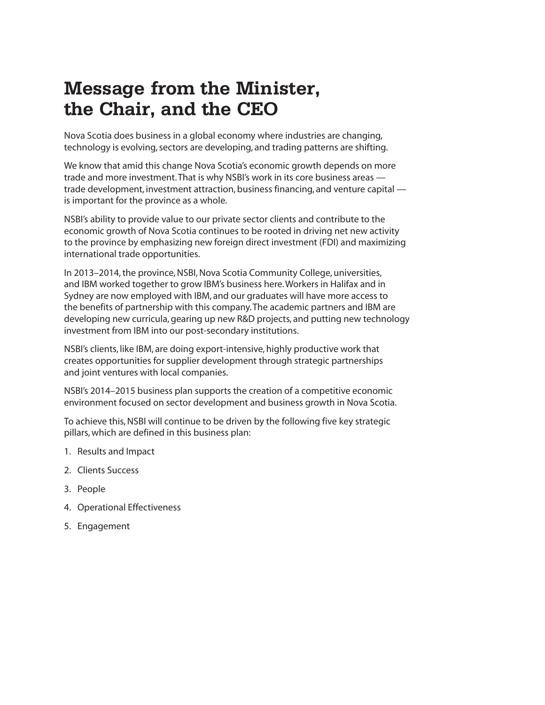### **Message from the Minister, the Chair, and the CEO**

Nova Scotia does business in a global economy where industries are changing, technology is evolving, sectors are developing, and trading patterns are shifting.

We know that amid this change Nova Scotia's economic growth depends on more trade and more investment. That is why NSBI's work in its core business areas trade development, investment attraction, business financing, and venture capital is important for the province as a whole.

NSBI's ability to provide value to our private sector clients and contribute to the economic growth of Nova Scotia continues to be rooted in driving net new activity to the province by emphasizing new foreign direct investment (FDI) and maximizing international trade opportunities.

In 2013–2014, the province, NSBI, Nova Scotia Community College, universities, and IBM worked together to grow IBM's business here. Workers in Halifax and in Sydney are now employed with IBM, and our graduates will have more access to the benefits of partnership with this company. The academic partners and IBM are developing new curricula, gearing up new R&D projects, and putting new technology investment from IBM into our post-secondary institutions.

NSBI's clients, like IBM, are doing export-intensive, highly productive work that creates opportunities for supplier development through strategic partnerships and joint ventures with local companies.

NSBI's 2014–2015 business plan supports the creation of a competitive economic environment focused on sector development and business growth in Nova Scotia.

To achieve this, NSBI will continue to be driven by the following five key strategic pillars, which are defined in this business plan:

- 1. Results and Impact
- 2. Clients Success
- 3. People
- 4. Operational Effectiveness
- 5. Engagement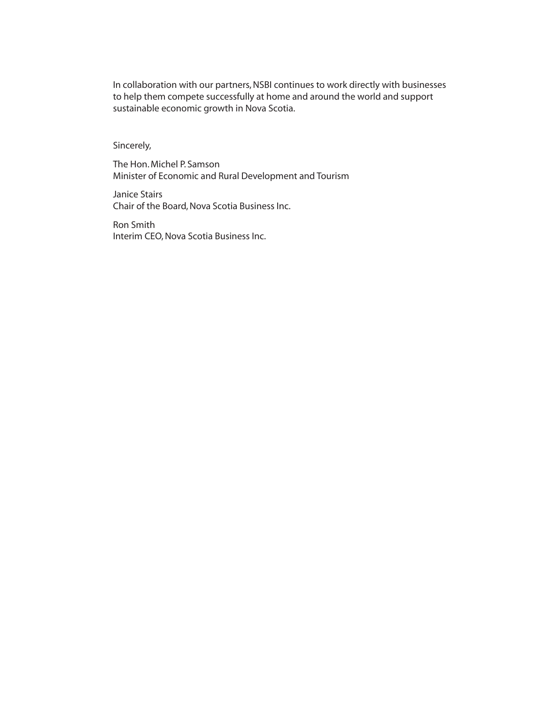In collaboration with our partners, NSBI continues to work directly with businesses to help them compete successfully at home and around the world and support sustainable economic growth in Nova Scotia.

Sincerely,

The Hon. Michel P. Samson Minister of Economic and Rural Development and Tourism

Janice Stairs Chair of the Board, Nova Scotia Business Inc.

Ron Smith Interim CEO, Nova Scotia Business Inc.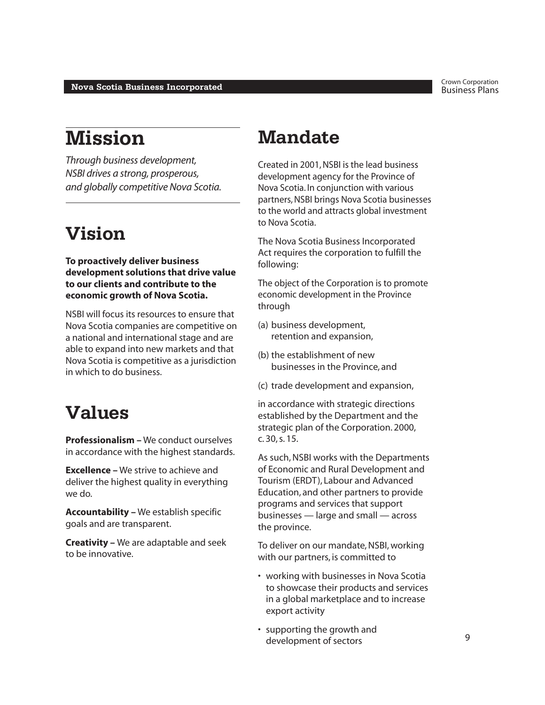### **Mission**

*Through business development, NSBI drives a strong, prosperous, and globally competitive Nova Scotia.*

### **Vision**

#### **To proactively deliver business development solutions that drive value to our clients and contribute to the economic growth of Nova Scotia.**

NSBI will focus its resources to ensure that Nova Scotia companies are competitive on a national and international stage and are able to expand into new markets and that Nova Scotia is competitive as a jurisdiction in which to do business.

### **Values**

**Professionalism –** We conduct ourselves in accordance with the highest standards.

**Excellence –** We strive to achieve and deliver the highest quality in everything we do.

**Accountability –** We establish specific goals and are transparent.

**Creativity –** We are adaptable and seek to be innovative.

### **Mandate**

Created in 2001, NSBI is the lead business development agency for the Province of Nova Scotia. In conjunction with various partners, NSBI brings Nova Scotia businesses to the world and attracts global investment to Nova Scotia.

The Nova Scotia Business Incorporated Act requires the corporation to fulfill the following:

The object of the Corporation is to promote economic development in the Province through

- (a) business development, retention and expansion,
- (b) the establishment of new businesses in the Province, and
- (c) trade development and expansion,

in accordance with strategic directions established by the Department and the strategic plan of the Corporation. 2000, c. 30, s. 15.

As such, NSBI works with the Departments of Economic and Rural Development and Tourism (ERDT), Labour and Advanced Education, and other partners to provide programs and services that support businesses — large and small — across the province.

To deliver on our mandate, NSBI, working with our partners, is committed to

- working with businesses in Nova Scotia to showcase their products and services in a global marketplace and to increase export activity
- supporting the growth and development of sectors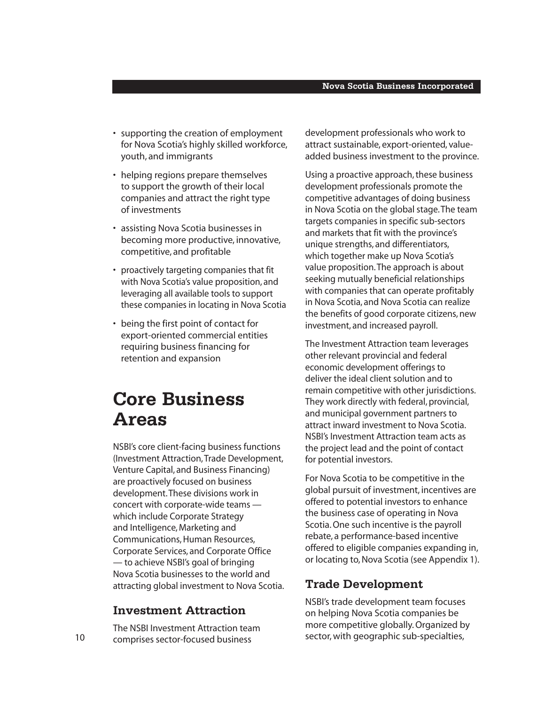- supporting the creation of employment for Nova Scotia's highly skilled workforce, youth, and immigrants
- helping regions prepare themselves to support the growth of their local companies and attract the right type of investments
- assisting Nova Scotia businesses in becoming more productive, innovative, competitive, and profitable
- proactively targeting companies that fit with Nova Scotia's value proposition, and leveraging all available tools to support these companies in locating in Nova Scotia
- being the first point of contact for export-oriented commercial entities requiring business financing for retention and expansion

### **Core Business Areas**

NSBI's core client-facing business functions (Investment Attraction, Trade Development, Venture Capital, and Business Financing) are proactively focused on business development. These divisions work in concert with corporate-wide teams which include Corporate Strategy and Intelligence, Marketing and Communications, Human Resources, Corporate Services, and Corporate Office — to achieve NSBI's goal of bringing Nova Scotia businesses to the world and attracting global investment to Nova Scotia.

#### **Investment Attraction**

The NSBI Investment Attraction team comprises sector-focused business

development professionals who work to attract sustainable, export-oriented, valueadded business investment to the province.

Using a proactive approach, these business development professionals promote the competitive advantages of doing business in Nova Scotia on the global stage. The team targets companies in specific sub-sectors and markets that fit with the province's unique strengths, and differentiators, which together make up Nova Scotia's value proposition. The approach is about seeking mutually beneficial relationships with companies that can operate profitably in Nova Scotia, and Nova Scotia can realize the benefits of good corporate citizens, new investment, and increased payroll.

The Investment Attraction team leverages other relevant provincial and federal economic development offerings to deliver the ideal client solution and to remain competitive with other jurisdictions. They work directly with federal, provincial, and municipal government partners to attract inward investment to Nova Scotia. NSBI's Investment Attraction team acts as the project lead and the point of contact for potential investors.

For Nova Scotia to be competitive in the global pursuit of investment, incentives are offered to potential investors to enhance the business case of operating in Nova Scotia. One such incentive is the payroll rebate, a performance-based incentive offered to eligible companies expanding in, or locating to, Nova Scotia (see Appendix 1).

#### **Trade Development**

NSBI's trade development team focuses on helping Nova Scotia companies be more competitive globally. Organized by sector, with geographic sub-specialties,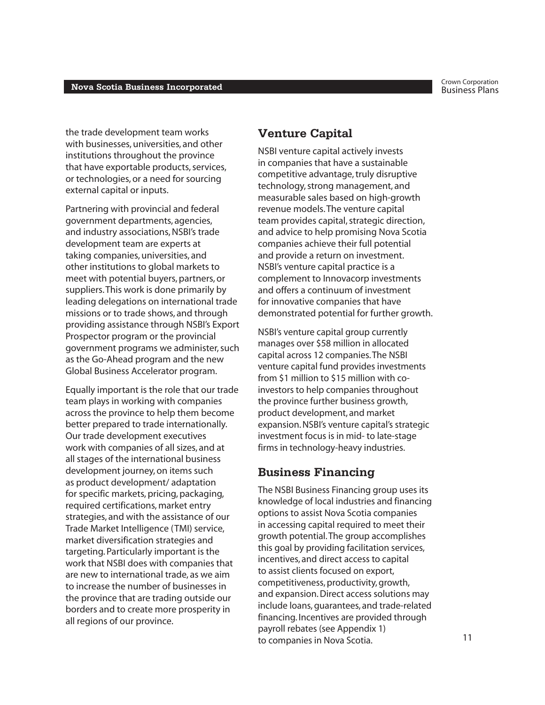the trade development team works with businesses, universities, and other institutions throughout the province that have exportable products, services, or technologies, or a need for sourcing external capital or inputs.

Partnering with provincial and federal government departments, agencies, and industry associations, NSBI's trade development team are experts at taking companies, universities, and other institutions to global markets to meet with potential buyers, partners, or suppliers. This work is done primarily by leading delegations on international trade missions or to trade shows, and through providing assistance through NSBI's Export Prospector program or the provincial government programs we administer, such as the Go-Ahead program and the new Global Business Accelerator program.

Equally important is the role that our trade team plays in working with companies across the province to help them become better prepared to trade internationally. Our trade development executives work with companies of all sizes, and at all stages of the international business development journey, on items such as product development/ adaptation for specific markets, pricing, packaging, required certifications, market entry strategies, and with the assistance of our Trade Market Intelligence (TMI) service, market diversification strategies and targeting. Particularly important is the work that NSBI does with companies that are new to international trade, as we aim to increase the number of businesses in the province that are trading outside our borders and to create more prosperity in all regions of our province.

#### **Venture Capital**

NSBI venture capital actively invests in companies that have a sustainable competitive advantage, truly disruptive technology, strong management, and measurable sales based on high-growth revenue models. The venture capital team provides capital, strategic direction, and advice to help promising Nova Scotia companies achieve their full potential and provide a return on investment. NSBI's venture capital practice is a complement to Innovacorp investments and offers a continuum of investment for innovative companies that have demonstrated potential for further growth.

NSBI's venture capital group currently manages over \$58 million in allocated capital across 12 companies. The NSBI venture capital fund provides investments from \$1 million to \$15 million with coinvestors to help companies throughout the province further business growth, product development, and market expansion. NSBI's venture capital's strategic investment focus is in mid- to late-stage firms in technology-heavy industries.

#### **Business Financing**

The NSBI Business Financing group uses its knowledge of local industries and financing options to assist Nova Scotia companies in accessing capital required to meet their growth potential. The group accomplishes this goal by providing facilitation services, incentives, and direct access to capital to assist clients focused on export, competitiveness, productivity, growth, and expansion. Direct access solutions may include loans, guarantees, and trade-related financing. Incentives are provided through payroll rebates (see Appendix 1) to companies in Nova Scotia.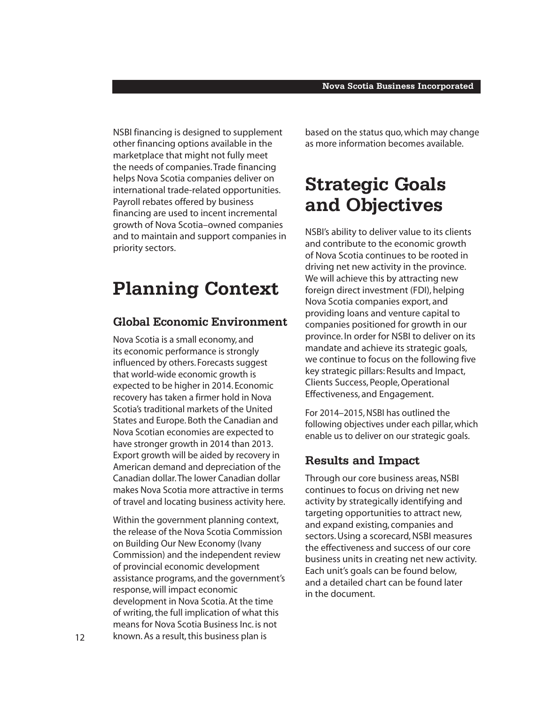NSBI financing is designed to supplement other financing options available in the marketplace that might not fully meet the needs of companies. Trade financing helps Nova Scotia companies deliver on international trade-related opportunities. Payroll rebates offered by business financing are used to incent incremental growth of Nova Scotia–owned companies and to maintain and support companies in priority sectors.

### **Planning Context**

#### **Global Economic Environment**

Nova Scotia is a small economy, and its economic performance is strongly influenced by others. Forecasts suggest that world-wide economic growth is expected to be higher in 2014. Economic recovery has taken a firmer hold in Nova Scotia's traditional markets of the United States and Europe. Both the Canadian and Nova Scotian economies are expected to have stronger growth in 2014 than 2013. Export growth will be aided by recovery in American demand and depreciation of the Canadian dollar. The lower Canadian dollar makes Nova Scotia more attractive in terms of travel and locating business activity here.

Within the government planning context, the release of the Nova Scotia Commission on Building Our New Economy (Ivany Commission) and the independent review of provincial economic development assistance programs, and the government's response, will impact economic development in Nova Scotia. At the time of writing, the full implication of what this means for Nova Scotia Business Inc. is not known. As a result, this business plan is

based on the status quo, which may change as more information becomes available.

### **Strategic Goals and Objectives**

NSBI's ability to deliver value to its clients and contribute to the economic growth of Nova Scotia continues to be rooted in driving net new activity in the province. We will achieve this by attracting new foreign direct investment (FDI), helping Nova Scotia companies export, and providing loans and venture capital to companies positioned for growth in our province. In order for NSBI to deliver on its mandate and achieve its strategic goals, we continue to focus on the following five key strategic pillars: Results and Impact, Clients Success, People, Operational Effectiveness, and Engagement.

For 2014–2015, NSBI has outlined the following objectives under each pillar, which enable us to deliver on our strategic goals.

#### **Results and Impact**

Through our core business areas, NSBI continues to focus on driving net new activity by strategically identifying and targeting opportunities to attract new, and expand existing, companies and sectors. Using a scorecard, NSBI measures the effectiveness and success of our core business units in creating net new activity. Each unit's goals can be found below, and a detailed chart can be found later in the document.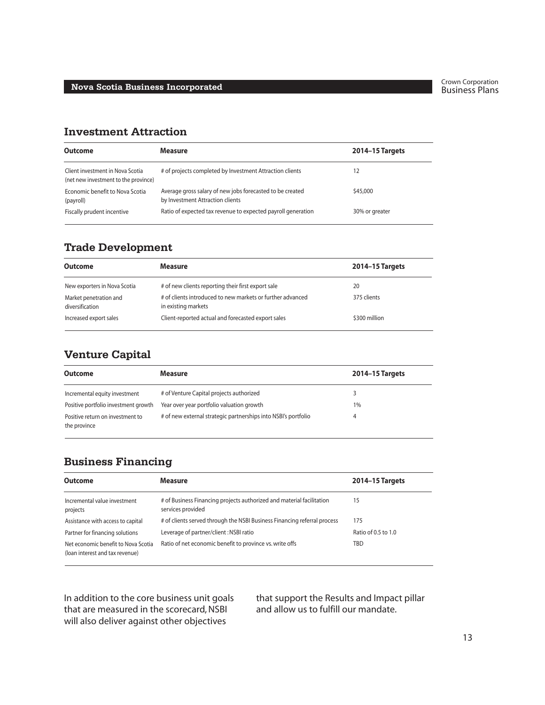#### **Investment Attraction**

| <b>Outcome</b>                                                           | <b>Measure</b>                                                                                | <b>2014-15 Targets</b> |
|--------------------------------------------------------------------------|-----------------------------------------------------------------------------------------------|------------------------|
| Client investment in Nova Scotia<br>(net new investment to the province) | # of projects completed by Investment Attraction clients                                      | 12                     |
| Economic benefit to Nova Scotia<br>(payroll)                             | Average gross salary of new jobs forecasted to be created<br>by Investment Attraction clients | \$45,000               |
| Fiscally prudent incentive                                               | Ratio of expected tax revenue to expected payroll generation                                  | 30% or greater         |

#### **Trade Development**

| <b>Outcome</b>                            | <b>Measure</b>                                                                    | <b>2014–15 Targets</b> |
|-------------------------------------------|-----------------------------------------------------------------------------------|------------------------|
| New exporters in Nova Scotia              | # of new clients reporting their first export sale                                | 20                     |
| Market penetration and<br>diversification | # of clients introduced to new markets or further advanced<br>in existing markets | 375 clients            |
| Increased export sales                    | Client-reported actual and forecasted export sales                                | \$300 million          |

#### **Venture Capital**

| <b>Outcome</b>                                   | Measure                                                        | <b>2014-15 Targets</b> |
|--------------------------------------------------|----------------------------------------------------------------|------------------------|
| Incremental equity investment                    | # of Venture Capital projects authorized                       |                        |
| Positive portfolio investment growth             | Year over year portfolio valuation growth                      | $1\%$                  |
| Positive return on investment to<br>the province | # of new external strategic partnerships into NSBI's portfolio |                        |

### **Business Financing**

| <b>Outcome</b>                                                         | <b>Measure</b>                                                                             | <b>2014-15 Targets</b> |
|------------------------------------------------------------------------|--------------------------------------------------------------------------------------------|------------------------|
|                                                                        |                                                                                            |                        |
| Incremental value investment<br>projects                               | # of Business Financing projects authorized and material facilitation<br>services provided | 15                     |
| Assistance with access to capital                                      | # of clients served through the NSBI Business Financing referral process                   | 175                    |
| Partner for financing solutions                                        | Leverage of partner/client: NSBI ratio                                                     | Ratio of 0.5 to 1.0    |
| Net economic benefit to Nova Scotia<br>(loan interest and tax revenue) | Ratio of net economic benefit to province vs. write offs                                   | TBD                    |
|                                                                        |                                                                                            |                        |

In addition to the core business unit goals that are measured in the scorecard, NSBI will also deliver against other objectives

that support the Results and Impact pillar and allow us to fulfill our mandate.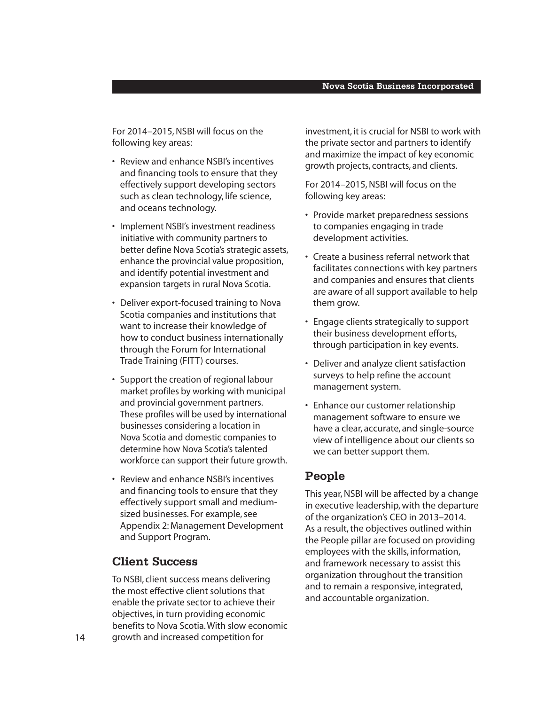For 2014–2015, NSBI will focus on the following key areas:

- Review and enhance NSBI's incentives and financing tools to ensure that they effectively support developing sectors such as clean technology, life science, and oceans technology.
- Implement NSBI's investment readiness initiative with community partners to better define Nova Scotia's strategic assets, enhance the provincial value proposition, and identify potential investment and expansion targets in rural Nova Scotia.
- Deliver export-focused training to Nova Scotia companies and institutions that want to increase their knowledge of how to conduct business internationally through the Forum for International Trade Training (FITT) courses.
- Support the creation of regional labour market profiles by working with municipal and provincial government partners. These profiles will be used by international businesses considering a location in Nova Scotia and domestic companies to determine how Nova Scotia's talented workforce can support their future growth.
- Review and enhance NSBI's incentives and financing tools to ensure that they effectively support small and mediumsized businesses. For example, see Appendix 2: Management Development and Support Program.

#### **Client Success**

To NSBI, client success means delivering the most effective client solutions that enable the private sector to achieve their objectives, in turn providing economic benefits to Nova Scotia. With slow economic growth and increased competition for

investment, it is crucial for NSBI to work with the private sector and partners to identify and maximize the impact of key economic growth projects, contracts, and clients.

For 2014–2015, NSBI will focus on the following key areas:

- Provide market preparedness sessions to companies engaging in trade development activities.
- Create a business referral network that facilitates connections with key partners and companies and ensures that clients are aware of all support available to help them grow.
- Engage clients strategically to support their business development efforts, through participation in key events.
- Deliver and analyze client satisfaction surveys to help refine the account management system.
- Enhance our customer relationship management software to ensure we have a clear, accurate, and single-source view of intelligence about our clients so we can better support them.

#### **People**

This year, NSBI will be affected by a change in executive leadership, with the departure of the organization's CEO in 2013–2014. As a result, the objectives outlined within the People pillar are focused on providing employees with the skills, information, and framework necessary to assist this organization throughout the transition and to remain a responsive, integrated, and accountable organization.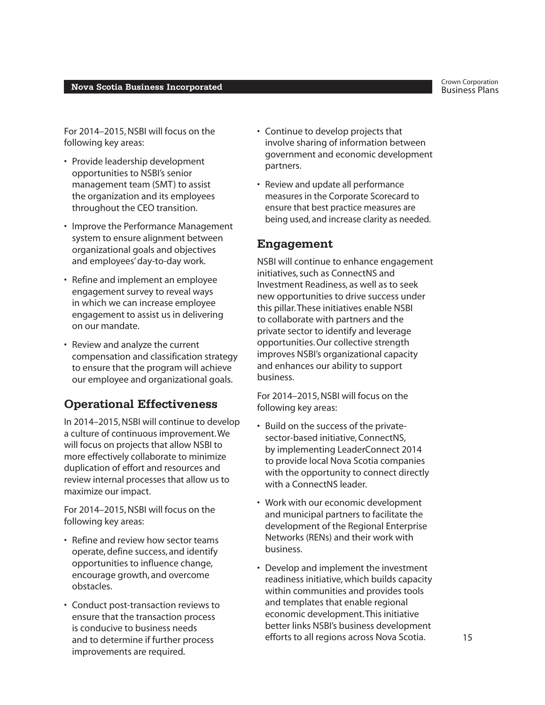For 2014–2015, NSBI will focus on the following key areas:

- Provide leadership development opportunities to NSBI's senior management team (SMT) to assist the organization and its employees throughout the CEO transition.
- Improve the Performance Management system to ensure alignment between organizational goals and objectives and employees' day-to-day work.
- Refine and implement an employee engagement survey to reveal ways in which we can increase employee engagement to assist us in delivering on our mandate.
- Review and analyze the current compensation and classification strategy to ensure that the program will achieve our employee and organizational goals.

#### **Operational Effectiveness**

In 2014–2015, NSBI will continue to develop a culture of continuous improvement. We will focus on projects that allow NSBI to more effectively collaborate to minimize duplication of effort and resources and review internal processes that allow us to maximize our impact.

For 2014–2015, NSBI will focus on the following key areas:

- Refine and review how sector teams operate, define success, and identify opportunities to influence change, encourage growth, and overcome obstacles.
- Conduct post-transaction reviews to ensure that the transaction process is conducive to business needs and to determine if further process improvements are required.
- Continue to develop projects that involve sharing of information between government and economic development partners.
- Review and update all performance measures in the Corporate Scorecard to ensure that best practice measures are being used, and increase clarity as needed.

#### **Engagement**

NSBI will continue to enhance engagement initiatives, such as ConnectNS and Investment Readiness, as well as to seek new opportunities to drive success under this pillar. These initiatives enable NSBI to collaborate with partners and the private sector to identify and leverage opportunities. Our collective strength improves NSBI's organizational capacity and enhances our ability to support business.

For 2014–2015, NSBI will focus on the following key areas:

- Build on the success of the privatesector-based initiative, ConnectNS, by implementing LeaderConnect 2014 to provide local Nova Scotia companies with the opportunity to connect directly with a ConnectNS leader.
- Work with our economic development and municipal partners to facilitate the development of the Regional Enterprise Networks (RENs) and their work with business.
- Develop and implement the investment readiness initiative, which builds capacity within communities and provides tools and templates that enable regional economic development. This initiative better links NSBI's business development efforts to all regions across Nova Scotia.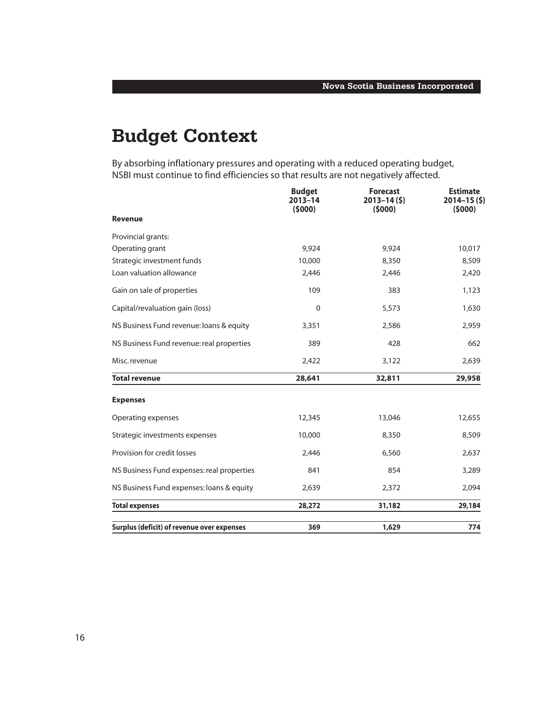### **Budget Context**

By absorbing inflationary pressures and operating with a reduced operating budget, NSBI must continue to find efficiencies so that results are not negatively affected.

|                                            | <b>Budget</b><br>$2013 - 14$<br>(5000) | <b>Forecast</b><br>$2013 - 14(5)$<br>(5000) | <b>Estimate</b><br>$2014 - 15(5)$<br>(5000) |
|--------------------------------------------|----------------------------------------|---------------------------------------------|---------------------------------------------|
| <b>Revenue</b>                             |                                        |                                             |                                             |
| Provincial grants:                         |                                        |                                             |                                             |
| Operating grant                            | 9.924                                  | 9,924                                       | 10,017                                      |
| Strategic investment funds                 | 10,000                                 | 8,350                                       | 8,509                                       |
| Loan valuation allowance                   | 2,446                                  | 2,446                                       | 2,420                                       |
| Gain on sale of properties                 | 109                                    | 383                                         | 1,123                                       |
| Capital/revaluation gain (loss)            | $\mathbf 0$                            | 5,573                                       | 1,630                                       |
| NS Business Fund revenue: loans & equity   | 3,351                                  | 2,586                                       | 2,959                                       |
| NS Business Fund revenue: real properties  | 389                                    | 428                                         | 662                                         |
| Misc. revenue                              | 2,422                                  | 3,122                                       | 2,639                                       |
| <b>Total revenue</b>                       | 28,641                                 | 32,811                                      | 29,958                                      |
| <b>Expenses</b>                            |                                        |                                             |                                             |
| Operating expenses                         | 12,345                                 | 13,046                                      | 12,655                                      |
| Strategic investments expenses             | 10,000                                 | 8,350                                       | 8,509                                       |
| Provision for credit losses                | 2,446                                  | 6,560                                       | 2,637                                       |
| NS Business Fund expenses: real properties | 841                                    | 854                                         | 3,289                                       |
| NS Business Fund expenses: loans & equity  | 2,639                                  | 2,372                                       | 2,094                                       |
| <b>Total expenses</b>                      | 28,272                                 | 31,182                                      | 29,184                                      |
| Surplus (deficit) of revenue over expenses | 369                                    | 1,629                                       | 774                                         |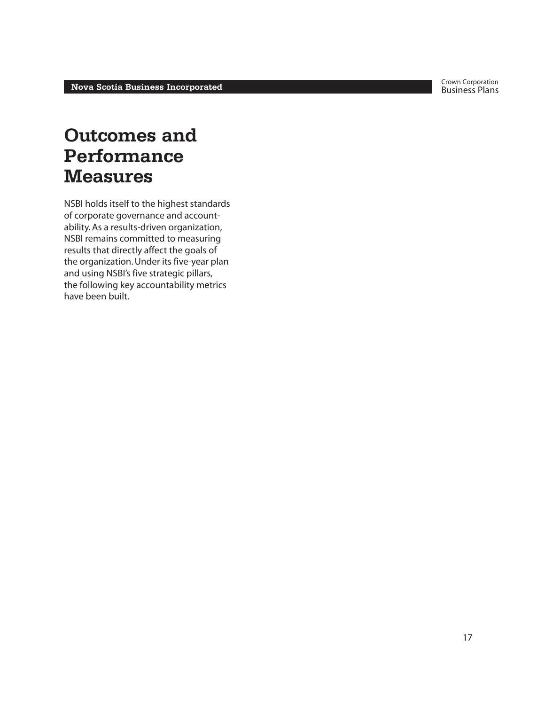### **Outcomes and Performance Measures**

NSBI holds itself to the highest standards of corporate governance and accountability. As a results-driven organization, NSBI remains committed to measuring results that directly affect the goals of the organization. Under its five-year plan and using NSBI's five strategic pillars, the following key accountability metrics have been built.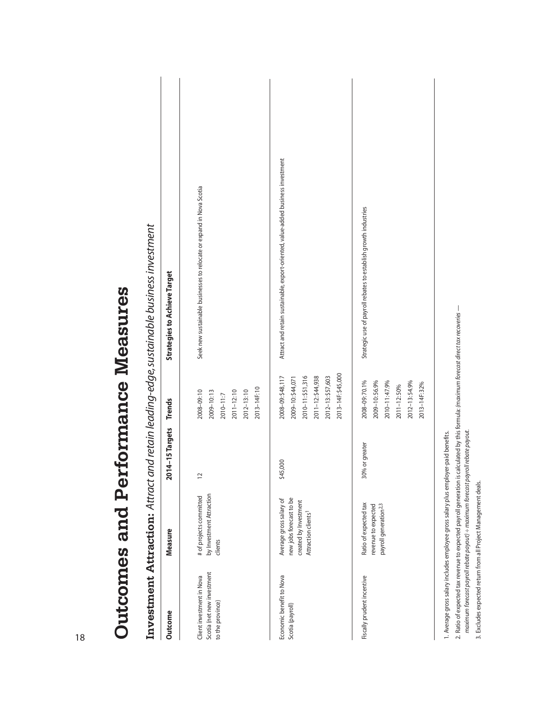| Outcome                                                                     | Measure                                                                                                        | 2014-15 Targets | <b>Trends</b>                                                                                                             | <b>Strategies to Achieve Target</b>                                              |
|-----------------------------------------------------------------------------|----------------------------------------------------------------------------------------------------------------|-----------------|---------------------------------------------------------------------------------------------------------------------------|----------------------------------------------------------------------------------|
| Scotia (net new investment<br>Client investment in Nova<br>to the province) | by Investment Attraction<br># of projects committed<br>clients                                                 | $\sim$          | 2013-14F: 10<br>$2012 - 13:10$<br>$2011 - 12:10$<br>2008-09:10<br>2009-10:13<br>2010-11:7                                 | Seek new sustainable businesses to relocate or expand in Nova Scotia             |
| Economic benefit to Nova<br>Scotia (payroll)                                | new jobs forecast to be<br>Average gross salary of<br>created by Investment<br>Attraction clients <sup>1</sup> | \$45,000        | 2013-14F: \$45,000<br>2008-09: \$48,117<br>2010-11:\$51,316<br>2011-12:\$44,938<br>2012-13: \$57,603<br>2009-10: \$44,071 | Attract and retain sustainable, export-oriented, value-added business investment |
| Fiscally prudent incentive                                                  | Ratio of expected tax<br>payroll generation <sup>2,3</sup><br>revenue to expected                              | 30% or greater  | 2008-09:70.1%<br>2010-11:47.9%<br>2009-10:56.9%<br>2012-13:54.9%<br>2013-14F: 32%<br>2011-12:50%                          | Strategic use of payroll rebates to establish growth industries                  |

2. Ratio of expected tax revenue to expected payroll generation is calculated by this formula: (m*aximum forecast direct tax recoveries —*<br>m*aximum forecast payroll rebate payout) ÷ maximum forecast payroll rebate payout.* 2. Ratio of expected tax revenue to expected payroll generation is calculated by this formula: *(maximum forecast direct tax recoveries —* 

*maximum forecast payroll rebate payout) ÷ maximum forecast payroll rebate payout.*

3. Excludes expected return from all Project Management deals. 3. Excludes expected return from all Project Management deals.

**Outcomes and Performance Measures**

Outcomes and Performance Measures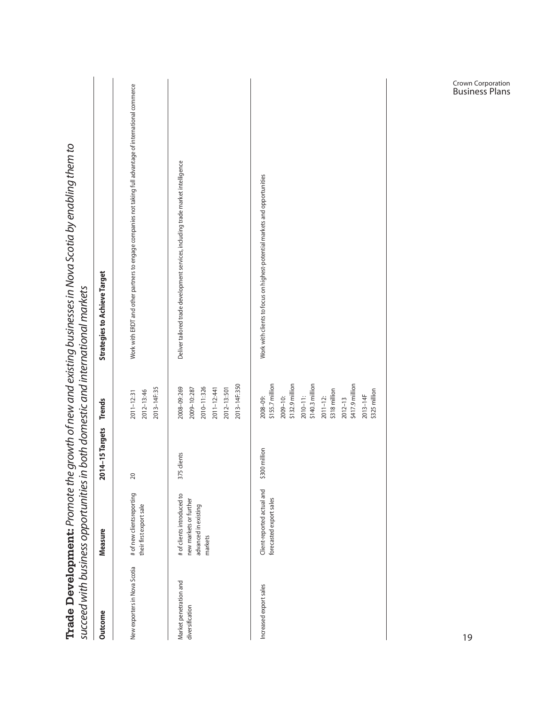| Outcome                                   | Measure                                                                                 | 2014-15 Targets | <b>Trends</b>                                                                                                                                                                                        | <b>Strategies to Achieve Target</b>                                                                       |
|-------------------------------------------|-----------------------------------------------------------------------------------------|-----------------|------------------------------------------------------------------------------------------------------------------------------------------------------------------------------------------------------|-----------------------------------------------------------------------------------------------------------|
| New exporters in Nova Scotia              | # of new clientsreporting<br>their first export sale                                    | 20              | 2013-14F: 35<br>2012-13:46<br>2011-12:31                                                                                                                                                             | Work with ERDT and other partners to engage companies not taking full advantage of international commerce |
| Market penetration and<br>diversification | # of clients introduced to<br>new markets or further<br>advanced in existing<br>markets | clients<br>375  | 2013-14F: 350<br>2008-09:269<br>2010-11:326<br>2009-10:287<br>2011-12:441<br>2012-13:501                                                                                                             | Deliver tailored trade development services, including trade market intelligence                          |
| Increased export sales                    | Client-reported actual and<br>forecasted export sales                                   | \$300 million   | \$155.7 million<br>\$132.9 million<br>\$140.3 million<br>\$417.9 million<br>\$318 million<br>\$325 million<br>$2013 - 14F$<br>$2010 - 11$ :<br>$2011 - 12$<br>2008-09:<br>$2009 - 10$<br>$2012 - 13$ | Work with clients to focus on highest-potential markets and opportunities                                 |

Crown Corporation Business Plans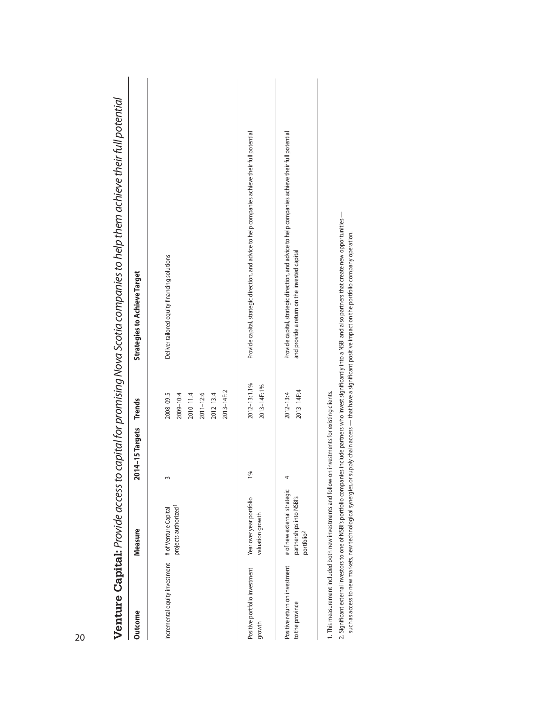| Venture Capital: Provide access to               |                                                                                   |                        |                                                                                      | capital for promising Nova Scotia companies to help them achieve their full potential                                                           |
|--------------------------------------------------|-----------------------------------------------------------------------------------|------------------------|--------------------------------------------------------------------------------------|-------------------------------------------------------------------------------------------------------------------------------------------------|
| <b>Outcome</b>                                   | Measure                                                                           | 2014-15 Targets Trends |                                                                                      | <b>Strategies to Achieve Target</b>                                                                                                             |
| Incremental equity investment                    | projects authorized <sup>1</sup><br># of Venture Capital                          |                        | 2013-14F: 2<br>2008-09:5<br>$2011 - 12.6$<br>$2012 - 13:4$<br>2009-10:4<br>2010-11:4 | Deliver tailored equity financing solutions                                                                                                     |
| Positive portfolio investment<br>growth          | Year over year portfolio<br>valuation growth                                      | $\frac{5}{20}$         | 2012-13:1.1%<br>2013-14F: 1%                                                         | Provide capital, strategic direction, and advice to help companies achieve their full potential                                                 |
| Positive return on investment<br>to the province | # of new external strategic<br>partnerships into NSBI's<br>portfolio <sup>2</sup> |                        | $2013 - 14F:4$<br>$2012 - 13:4$                                                      | Provide capital, strategic direction, and advice to help companies achieve their full potential<br>and provide a return on the invested capital |
|                                                  |                                                                                   |                        |                                                                                      |                                                                                                                                                 |

1. This measurement included both new investments and follow-on investments for existing clients. 1. This measurement included both new investments and follow-on investments for existing clients.

2. Significant external investors to one of NSBI's portfolio companies include partners who invest significantly into a NSBI and also partners that create new opportunities --2. Significant external investors to one of NSBI's portfolio companies include partners who invest significantly into a NSBI and also partners that create new opportunities —

such as access to new markets, new technological synergies, or supply chain access — that have a significant positive impact on the portfolio company operation. such as access to new markets, new technological synergies, or supply chain access — that have a significant positive impact on the portfolio company operation.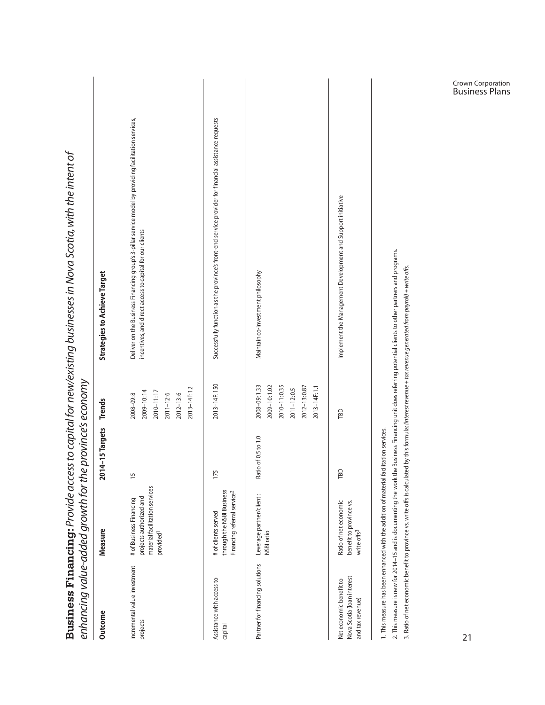| enhancing value-added growth for the province's economy                                |                                                                                                               |                     |                                                                                              |                                                                                                                                                                                                                                                                                                                                         |
|----------------------------------------------------------------------------------------|---------------------------------------------------------------------------------------------------------------|---------------------|----------------------------------------------------------------------------------------------|-----------------------------------------------------------------------------------------------------------------------------------------------------------------------------------------------------------------------------------------------------------------------------------------------------------------------------------------|
| Outcome                                                                                | Measure                                                                                                       | 2014-15 Targets     | <b>Trends</b>                                                                                | <b>Strategies to Achieve Target</b>                                                                                                                                                                                                                                                                                                     |
| Incremental value investment<br>projects                                               | material facilitation services<br>projects authorized and<br># of Business Financing<br>provided <sup>1</sup> | $\frac{5}{1}$       | 2013-14F: 12<br>2010-11:17<br>2009-10:14<br>$2011 - 12:6$<br>2012-13:6<br>2008-09:8          | Deliver on the Business Financing group's 3-pillar service model by providing facilitation services,<br>incentives, and direct access to capital for our clients                                                                                                                                                                        |
| Assistance with access to<br>capital                                                   | through the NSBI Business<br>Financing referral service <sup>2</sup><br># of clients served                   | 175                 | 2013-14F: 150                                                                                | Successfully function as the province's front-end service provider for financial assistance requests                                                                                                                                                                                                                                    |
| Partner for financing solutions                                                        | Leverage partner/client:<br>NSBI ratio                                                                        | Ratio of 0.5 to 1.0 | 2009-10:1.02<br>2010-11:0.35<br>2008-09:1.33<br>2012-13:0.87<br>2013-14F: 1.1<br>2011-12:0.5 | Maintain co-investment philosophy                                                                                                                                                                                                                                                                                                       |
| Nova Scotia (loan interest<br>Net economic benefit to<br>and tax revenue)              | Ratio of net economic<br>benefit to province vs.<br>write offs <sup>3</sup>                                   | Ξ                   | TBD                                                                                          | Implement the Management Development and Support initiative                                                                                                                                                                                                                                                                             |
| 1. This measure has been enhanced with the addition of material facilitation services. |                                                                                                               |                     |                                                                                              | 2. This measure is new for 2014–15 and is documenting the work the Business Financing unit does referring potential clients to other partners and programs.<br>3. Ratio of net economic benefit to province vs. write offs is calculated by this formula <i>: (interest revenue + tox revenue generated from poyroll) + write offs.</i> |

Crown Corporation Business Plans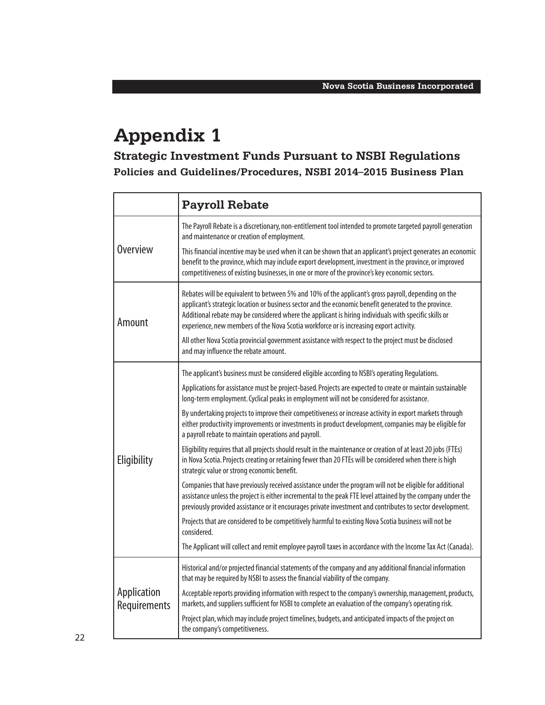## **Appendix 1**

**Strategic Investment Funds Pursuant to NSBI Regulations Policies and Guidelines/Procedures, NSBI 2014–2015 Business Plan**

|                             | <b>Payroll Rebate</b>                                                                                                                                                                                                                                                                                                                                                                                           |
|-----------------------------|-----------------------------------------------------------------------------------------------------------------------------------------------------------------------------------------------------------------------------------------------------------------------------------------------------------------------------------------------------------------------------------------------------------------|
|                             | The Payroll Rebate is a discretionary, non-entitlement tool intended to promote targeted payroll generation<br>and maintenance or creation of employment.                                                                                                                                                                                                                                                       |
| <b>Overview</b>             | This financial incentive may be used when it can be shown that an applicant's project generates an economic<br>benefit to the province, which may include export development, investment in the province, or improved<br>competitiveness of existing businesses, in one or more of the province's key economic sectors.                                                                                         |
| Amount                      | Rebates will be equivalent to between 5% and 10% of the applicant's gross payroll, depending on the<br>applicant's strategic location or business sector and the economic benefit generated to the province.<br>Additional rebate may be considered where the applicant is hiring individuals with specific skills or<br>experience, new members of the Nova Scotia workforce or is increasing export activity. |
|                             | All other Nova Scotia provincial government assistance with respect to the project must be disclosed<br>and may influence the rebate amount.                                                                                                                                                                                                                                                                    |
|                             | The applicant's business must be considered eligible according to NSBI's operating Regulations.                                                                                                                                                                                                                                                                                                                 |
|                             | Applications for assistance must be project-based. Projects are expected to create or maintain sustainable<br>long-term employment. Cyclical peaks in employment will not be considered for assistance.                                                                                                                                                                                                         |
|                             | By undertaking projects to improve their competitiveness or increase activity in export markets through<br>either productivity improvements or investments in product development, companies may be eligible for<br>a payroll rebate to maintain operations and payroll.                                                                                                                                        |
| Eligibility                 | Eligibility requires that all projects should result in the maintenance or creation of at least 20 jobs (FTEs)<br>in Nova Scotia. Projects creating or retaining fewer than 20 FTEs will be considered when there is high<br>strategic value or strong economic benefit.                                                                                                                                        |
|                             | Companies that have previously received assistance under the program will not be eligible for additional<br>assistance unless the project is either incremental to the peak FTE level attained by the company under the<br>previously provided assistance or it encourages private investment and contributes to sector development.                                                                            |
|                             | Projects that are considered to be competitively harmful to existing Nova Scotia business will not be<br>considered.                                                                                                                                                                                                                                                                                            |
|                             | The Applicant will collect and remit employee payroll taxes in accordance with the Income Tax Act (Canada).                                                                                                                                                                                                                                                                                                     |
|                             | Historical and/or projected financial statements of the company and any additional financial information<br>that may be required by NSBI to assess the financial viability of the company.                                                                                                                                                                                                                      |
| Application<br>Requirements | Acceptable reports providing information with respect to the company's ownership, management, products,<br>markets, and suppliers sufficient for NSBI to complete an evaluation of the company's operating risk.                                                                                                                                                                                                |
|                             | Project plan, which may include project timelines, budgets, and anticipated impacts of the project on<br>the company's competitiveness.                                                                                                                                                                                                                                                                         |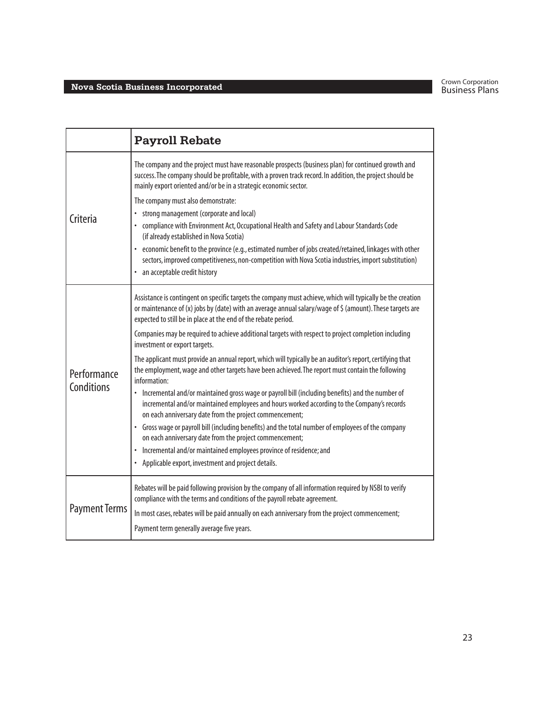|                      | <b>Payroll Rebate</b>                                                                                                                                                                                                                                                                      |
|----------------------|--------------------------------------------------------------------------------------------------------------------------------------------------------------------------------------------------------------------------------------------------------------------------------------------|
|                      | The company and the project must have reasonable prospects (business plan) for continued growth and<br>success. The company should be profitable, with a proven track record. In addition, the project should be<br>mainly export oriented and/or be in a strategic economic sector.       |
|                      | The company must also demonstrate:                                                                                                                                                                                                                                                         |
| Criteria             | • strong management (corporate and local)<br>• compliance with Environment Act, Occupational Health and Safety and Labour Standards Code<br>(if already established in Nova Scotia)                                                                                                        |
|                      | · economic benefit to the province (e.g., estimated number of jobs created/retained, linkages with other<br>sectors, improved competitiveness, non-competition with Nova Scotia industries, import substitution)<br>• an acceptable credit history                                         |
|                      | Assistance is contingent on specific targets the company must achieve, which will typically be the creation<br>or maintenance of (x) jobs by (date) with an average annual salary/wage of \$ (amount). These targets are<br>expected to still be in place at the end of the rebate period. |
|                      | Companies may be required to achieve additional targets with respect to project completion including<br>investment or export targets.                                                                                                                                                      |
| Performance          | The applicant must provide an annual report, which will typically be an auditor's report, certifying that<br>the employment, wage and other targets have been achieved. The report must contain the following<br>information:                                                              |
| Conditions           | • Incremental and/or maintained gross wage or payroll bill (including benefits) and the number of<br>incremental and/or maintained employees and hours worked according to the Company's records<br>on each anniversary date from the project commencement;                                |
|                      | • Gross wage or payroll bill (including benefits) and the total number of employees of the company<br>on each anniversary date from the project commencement;                                                                                                                              |
|                      | • Incremental and/or maintained employees province of residence; and<br>• Applicable export, investment and project details.                                                                                                                                                               |
|                      | Rebates will be paid following provision by the company of all information required by NSBI to verify<br>compliance with the terms and conditions of the payroll rebate agreement.                                                                                                         |
| <b>Payment Terms</b> | In most cases, rebates will be paid annually on each anniversary from the project commencement;                                                                                                                                                                                            |
|                      | Payment term generally average five years.                                                                                                                                                                                                                                                 |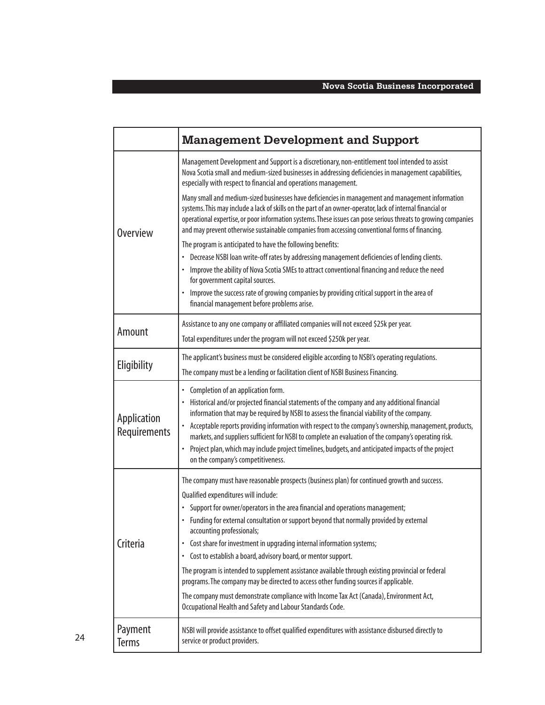|                             | <b>Management Development and Support</b>                                                                                                                                                                                                                                                                                                                                                                                                                                                                                                                                                          |
|-----------------------------|----------------------------------------------------------------------------------------------------------------------------------------------------------------------------------------------------------------------------------------------------------------------------------------------------------------------------------------------------------------------------------------------------------------------------------------------------------------------------------------------------------------------------------------------------------------------------------------------------|
| <b>Overview</b>             | Management Development and Support is a discretionary, non-entitlement tool intended to assist<br>Nova Scotia small and medium-sized businesses in addressing deficiencies in management capabilities,<br>especially with respect to financial and operations management.                                                                                                                                                                                                                                                                                                                          |
|                             | Many small and medium-sized businesses have deficiencies in management and management information<br>systems. This may include a lack of skills on the part of an owner-operator, lack of internal financial or<br>operational expertise, or poor information systems. These issues can pose serious threats to growing companies<br>and may prevent otherwise sustainable companies from accessing conventional forms of financing.                                                                                                                                                               |
|                             | The program is anticipated to have the following benefits:                                                                                                                                                                                                                                                                                                                                                                                                                                                                                                                                         |
|                             | Decrease NSBI loan write-off rates by addressing management deficiencies of lending clients.<br>Improve the ability of Nova Scotia SMEs to attract conventional financing and reduce the need<br>for government capital sources.                                                                                                                                                                                                                                                                                                                                                                   |
|                             | Improve the success rate of growing companies by providing critical support in the area of<br>financial management before problems arise.                                                                                                                                                                                                                                                                                                                                                                                                                                                          |
| Amount                      | Assistance to any one company or affiliated companies will not exceed \$25k per year.                                                                                                                                                                                                                                                                                                                                                                                                                                                                                                              |
|                             | Total expenditures under the program will not exceed \$250k per year.                                                                                                                                                                                                                                                                                                                                                                                                                                                                                                                              |
| Eligibility                 | The applicant's business must be considered eligible according to NSBI's operating regulations.                                                                                                                                                                                                                                                                                                                                                                                                                                                                                                    |
|                             | The company must be a lending or facilitation client of NSBI Business Financing.                                                                                                                                                                                                                                                                                                                                                                                                                                                                                                                   |
| Application<br>Requirements | Completion of an application form.<br>Historical and/or projected financial statements of the company and any additional financial<br>information that may be required by NSBI to assess the financial viability of the company.<br>Acceptable reports providing information with respect to the company's ownership, management, products,<br>markets, and suppliers sufficient for NSBI to complete an evaluation of the company's operating risk.<br>Project plan, which may include project timelines, budgets, and anticipated impacts of the project<br>on the company's competitiveness.    |
| Criteria                    | The company must have reasonable prospects (business plan) for continued growth and success.                                                                                                                                                                                                                                                                                                                                                                                                                                                                                                       |
|                             | Qualified expenditures will include:<br>• Support for owner/operators in the area financial and operations management;<br>Funding for external consultation or support beyond that normally provided by external<br>accounting professionals;<br>Cost share for investment in upgrading internal information systems;<br>$\bullet$<br>• Cost to establish a board, advisory board, or mentor support.<br>The program is intended to supplement assistance available through existing provincial or federal<br>programs. The company may be directed to access other funding sources if applicable. |
|                             | The company must demonstrate compliance with Income Tax Act (Canada), Environment Act,<br>Occupational Health and Safety and Labour Standards Code.                                                                                                                                                                                                                                                                                                                                                                                                                                                |
| Payment<br>Terms            | NSBI will provide assistance to offset qualified expenditures with assistance disbursed directly to<br>service or product providers.                                                                                                                                                                                                                                                                                                                                                                                                                                                               |